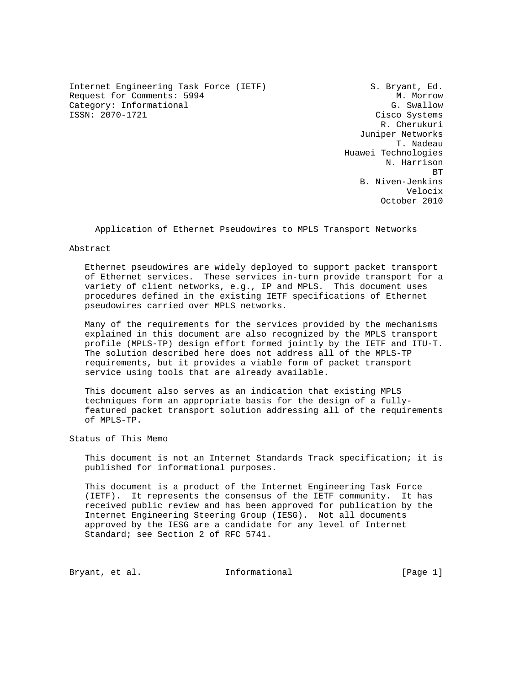Internet Engineering Task Force (IETF) S. Bryant, Ed. Request for Comments: 5994 M. Morrow Category: Informational G. Swallow G. Swallow G. Swallow G. Swallow G. Swallow G. Swallow G. Swallow G. Swallow

Cisco Systems R. Cherukuri Juniper Networks T. Nadeau Huawei Technologies N. Harrison **BT** STATE STATE STATE STATE STATE STATE STATE STATE STATE STATE STATE STATE STATE STATE STATE STATE STATE STATE STATE STATE STATE STATE STATE STATE STATE STATE STATE STATE STATE STATE STATE STATE STATE STATE STATE STATE S B. Niven-Jenkins Velocix October 2010

Application of Ethernet Pseudowires to MPLS Transport Networks

#### Abstract

 Ethernet pseudowires are widely deployed to support packet transport of Ethernet services. These services in-turn provide transport for a variety of client networks, e.g., IP and MPLS. This document uses procedures defined in the existing IETF specifications of Ethernet pseudowires carried over MPLS networks.

 Many of the requirements for the services provided by the mechanisms explained in this document are also recognized by the MPLS transport profile (MPLS-TP) design effort formed jointly by the IETF and ITU-T. The solution described here does not address all of the MPLS-TP requirements, but it provides a viable form of packet transport service using tools that are already available.

 This document also serves as an indication that existing MPLS techniques form an appropriate basis for the design of a fully featured packet transport solution addressing all of the requirements of MPLS-TP.

Status of This Memo

 This document is not an Internet Standards Track specification; it is published for informational purposes.

 This document is a product of the Internet Engineering Task Force (IETF). It represents the consensus of the IETF community. It has received public review and has been approved for publication by the Internet Engineering Steering Group (IESG). Not all documents approved by the IESG are a candidate for any level of Internet Standard; see Section 2 of RFC 5741.

Bryant, et al. 1nformational [Page 1]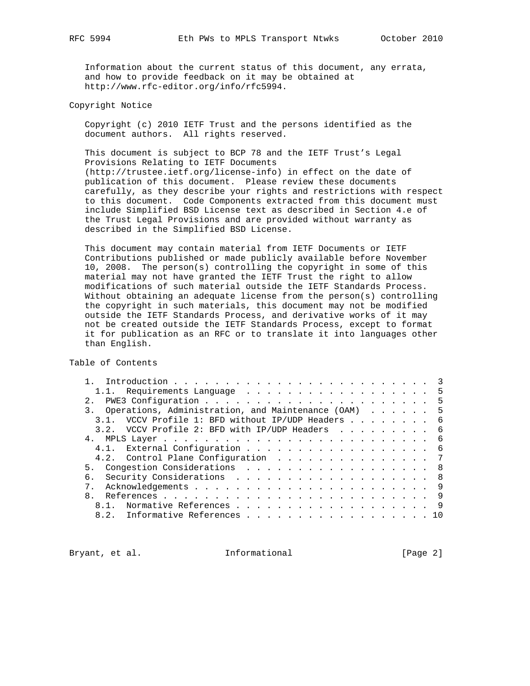Information about the current status of this document, any errata, and how to provide feedback on it may be obtained at http://www.rfc-editor.org/info/rfc5994.

Copyright Notice

 Copyright (c) 2010 IETF Trust and the persons identified as the document authors. All rights reserved.

 This document is subject to BCP 78 and the IETF Trust's Legal Provisions Relating to IETF Documents (http://trustee.ietf.org/license-info) in effect on the date of publication of this document. Please review these documents carefully, as they describe your rights and restrictions with respect to this document. Code Components extracted from this document must include Simplified BSD License text as described in Section 4.e of the Trust Legal Provisions and are provided without warranty as described in the Simplified BSD License.

 This document may contain material from IETF Documents or IETF Contributions published or made publicly available before November 10, 2008. The person(s) controlling the copyright in some of this material may not have granted the IETF Trust the right to allow modifications of such material outside the IETF Standards Process. Without obtaining an adequate license from the person(s) controlling the copyright in such materials, this document may not be modified outside the IETF Standards Process, and derivative works of it may not be created outside the IETF Standards Process, except to format it for publication as an RFC or to translate it into languages other than English.

Table of Contents

| 1.1. Requirements Language 5                           |  |
|--------------------------------------------------------|--|
|                                                        |  |
| 3. Operations, Administration, and Maintenance (OAM) 5 |  |
| 3.1. VCCV Profile 1: BFD without IP/UDP Headers 6      |  |
| 3.2. VCCV Profile 2: BFD with IP/UDP Headers 6         |  |
|                                                        |  |
| 4.1. External Configuration 6                          |  |
| 4.2. Control Plane Configuration 7                     |  |
| 5. Congestion Considerations 8                         |  |
| 6. Security Considerations 8                           |  |
|                                                        |  |
|                                                        |  |
| 8.1. Normative References 9                            |  |
| 8.2. Informative References 10                         |  |
|                                                        |  |

Bryant, et al. 1nformational [Page 2]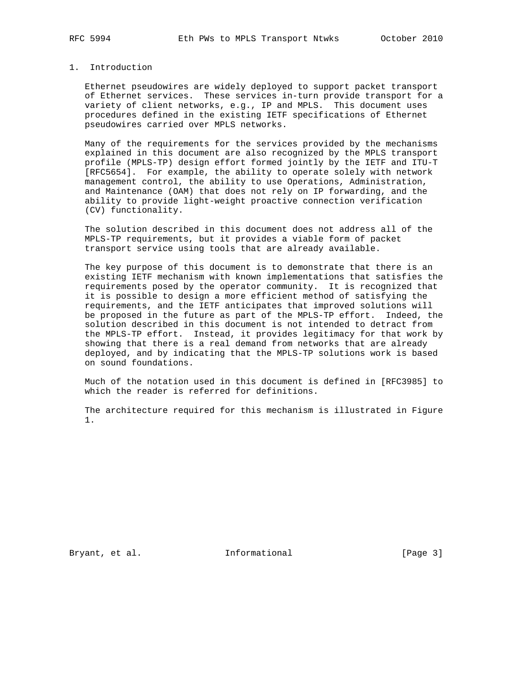# 1. Introduction

 Ethernet pseudowires are widely deployed to support packet transport of Ethernet services. These services in-turn provide transport for a variety of client networks, e.g., IP and MPLS. This document uses procedures defined in the existing IETF specifications of Ethernet pseudowires carried over MPLS networks.

 Many of the requirements for the services provided by the mechanisms explained in this document are also recognized by the MPLS transport profile (MPLS-TP) design effort formed jointly by the IETF and ITU-T [RFC5654]. For example, the ability to operate solely with network management control, the ability to use Operations, Administration, and Maintenance (OAM) that does not rely on IP forwarding, and the ability to provide light-weight proactive connection verification (CV) functionality.

 The solution described in this document does not address all of the MPLS-TP requirements, but it provides a viable form of packet transport service using tools that are already available.

 The key purpose of this document is to demonstrate that there is an existing IETF mechanism with known implementations that satisfies the requirements posed by the operator community. It is recognized that it is possible to design a more efficient method of satisfying the requirements, and the IETF anticipates that improved solutions will be proposed in the future as part of the MPLS-TP effort. Indeed, the solution described in this document is not intended to detract from the MPLS-TP effort. Instead, it provides legitimacy for that work by showing that there is a real demand from networks that are already deployed, and by indicating that the MPLS-TP solutions work is based on sound foundations.

 Much of the notation used in this document is defined in [RFC3985] to which the reader is referred for definitions.

 The architecture required for this mechanism is illustrated in Figure 1.

Bryant, et al. 1nformational [Page 3]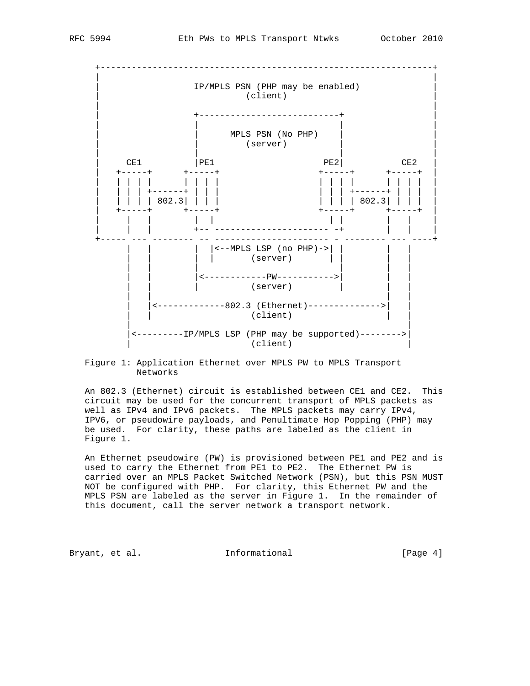

 Figure 1: Application Ethernet over MPLS PW to MPLS Transport Networks

 An 802.3 (Ethernet) circuit is established between CE1 and CE2. This circuit may be used for the concurrent transport of MPLS packets as well as IPv4 and IPv6 packets. The MPLS packets may carry IPv4, IPV6, or pseudowire payloads, and Penultimate Hop Popping (PHP) may be used. For clarity, these paths are labeled as the client in Figure 1.

An Ethernet pseudowire (PW) is provisioned between PE1 and PE2 and is used to carry the Ethernet from PE1 to PE2. The Ethernet PW is carried over an MPLS Packet Switched Network (PSN), but this PSN MUST NOT be configured with PHP. For clarity, this Ethernet PW and the MPLS PSN are labeled as the server in Figure 1. In the remainder of this document, call the server network a transport network.

Bryant, et al. 1nformational [Page 4]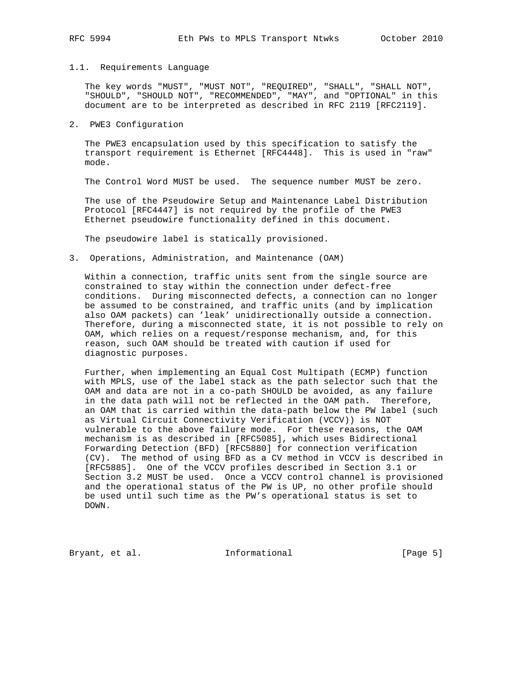#### 1.1. Requirements Language

 The key words "MUST", "MUST NOT", "REQUIRED", "SHALL", "SHALL NOT", "SHOULD", "SHOULD NOT", "RECOMMENDED", "MAY", and "OPTIONAL" in this document are to be interpreted as described in RFC 2119 [RFC2119].

### 2. PWE3 Configuration

 The PWE3 encapsulation used by this specification to satisfy the transport requirement is Ethernet [RFC4448]. This is used in "raw" mode.

The Control Word MUST be used. The sequence number MUST be zero.

 The use of the Pseudowire Setup and Maintenance Label Distribution Protocol [RFC4447] is not required by the profile of the PWE3 Ethernet pseudowire functionality defined in this document.

The pseudowire label is statically provisioned.

3. Operations, Administration, and Maintenance (OAM)

 Within a connection, traffic units sent from the single source are constrained to stay within the connection under defect-free conditions. During misconnected defects, a connection can no longer be assumed to be constrained, and traffic units (and by implication also OAM packets) can 'leak' unidirectionally outside a connection. Therefore, during a misconnected state, it is not possible to rely on OAM, which relies on a request/response mechanism, and, for this reason, such OAM should be treated with caution if used for diagnostic purposes.

 Further, when implementing an Equal Cost Multipath (ECMP) function with MPLS, use of the label stack as the path selector such that the OAM and data are not in a co-path SHOULD be avoided, as any failure in the data path will not be reflected in the OAM path. Therefore, an OAM that is carried within the data-path below the PW label (such as Virtual Circuit Connectivity Verification (VCCV)) is NOT vulnerable to the above failure mode. For these reasons, the OAM mechanism is as described in [RFC5085], which uses Bidirectional Forwarding Detection (BFD) [RFC5880] for connection verification (CV). The method of using BFD as a CV method in VCCV is described in [RFC5885]. One of the VCCV profiles described in Section 3.1 or Section 3.2 MUST be used. Once a VCCV control channel is provisioned and the operational status of the PW is UP, no other profile should be used until such time as the PW's operational status is set to DOWN.

Bryant, et al. 1nformational [Page 5]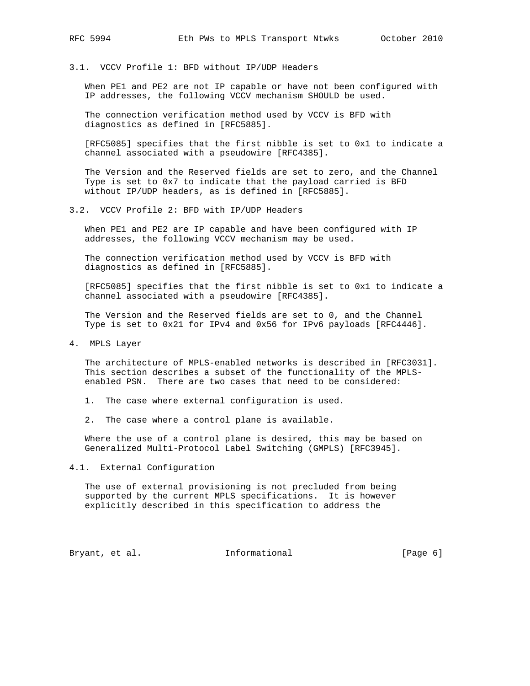# 3.1. VCCV Profile 1: BFD without IP/UDP Headers

 When PE1 and PE2 are not IP capable or have not been configured with IP addresses, the following VCCV mechanism SHOULD be used.

 The connection verification method used by VCCV is BFD with diagnostics as defined in [RFC5885].

 [RFC5085] specifies that the first nibble is set to 0x1 to indicate a channel associated with a pseudowire [RFC4385].

 The Version and the Reserved fields are set to zero, and the Channel Type is set to 0x7 to indicate that the payload carried is BFD without IP/UDP headers, as is defined in [RFC5885].

### 3.2. VCCV Profile 2: BFD with IP/UDP Headers

 When PE1 and PE2 are IP capable and have been configured with IP addresses, the following VCCV mechanism may be used.

 The connection verification method used by VCCV is BFD with diagnostics as defined in [RFC5885].

 [RFC5085] specifies that the first nibble is set to 0x1 to indicate a channel associated with a pseudowire [RFC4385].

 The Version and the Reserved fields are set to 0, and the Channel Type is set to 0x21 for IPv4 and 0x56 for IPv6 payloads [RFC4446].

4. MPLS Layer

 The architecture of MPLS-enabled networks is described in [RFC3031]. This section describes a subset of the functionality of the MPLS enabled PSN. There are two cases that need to be considered:

1. The case where external configuration is used.

2. The case where a control plane is available.

 Where the use of a control plane is desired, this may be based on Generalized Multi-Protocol Label Switching (GMPLS) [RFC3945].

4.1. External Configuration

 The use of external provisioning is not precluded from being supported by the current MPLS specifications. It is however explicitly described in this specification to address the

Bryant, et al. 1nformational [Page 6]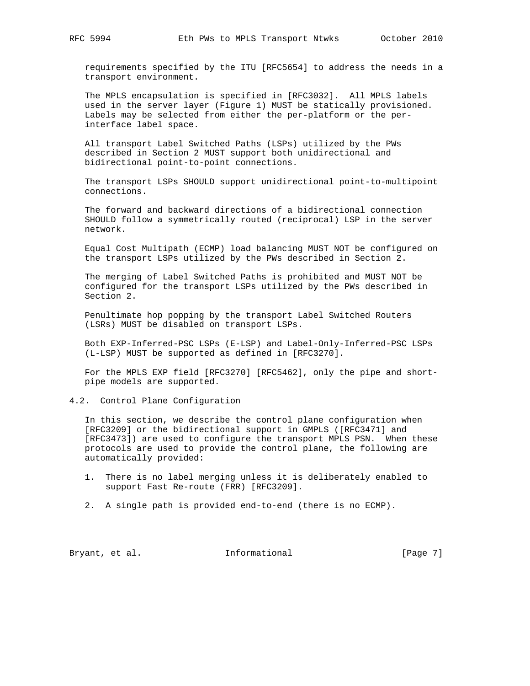requirements specified by the ITU [RFC5654] to address the needs in a transport environment.

 The MPLS encapsulation is specified in [RFC3032]. All MPLS labels used in the server layer (Figure 1) MUST be statically provisioned. Labels may be selected from either the per-platform or the per interface label space.

 All transport Label Switched Paths (LSPs) utilized by the PWs described in Section 2 MUST support both unidirectional and bidirectional point-to-point connections.

 The transport LSPs SHOULD support unidirectional point-to-multipoint connections.

 The forward and backward directions of a bidirectional connection SHOULD follow a symmetrically routed (reciprocal) LSP in the server network.

 Equal Cost Multipath (ECMP) load balancing MUST NOT be configured on the transport LSPs utilized by the PWs described in Section 2.

 The merging of Label Switched Paths is prohibited and MUST NOT be configured for the transport LSPs utilized by the PWs described in Section 2.

 Penultimate hop popping by the transport Label Switched Routers (LSRs) MUST be disabled on transport LSPs.

 Both EXP-Inferred-PSC LSPs (E-LSP) and Label-Only-Inferred-PSC LSPs (L-LSP) MUST be supported as defined in [RFC3270].

 For the MPLS EXP field [RFC3270] [RFC5462], only the pipe and short pipe models are supported.

4.2. Control Plane Configuration

 In this section, we describe the control plane configuration when [RFC3209] or the bidirectional support in GMPLS ([RFC3471] and [RFC3473]) are used to configure the transport MPLS PSN. When these protocols are used to provide the control plane, the following are automatically provided:

- 1. There is no label merging unless it is deliberately enabled to support Fast Re-route (FRR) [RFC3209].
- 2. A single path is provided end-to-end (there is no ECMP).

Bryant, et al. 1nformational [Page 7]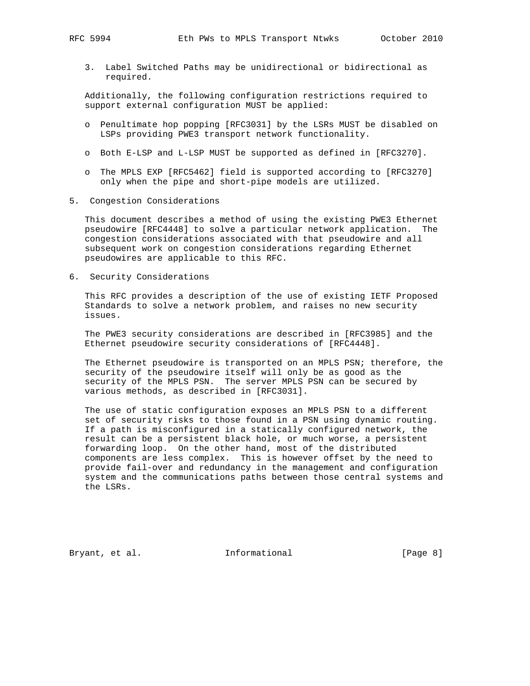3. Label Switched Paths may be unidirectional or bidirectional as required.

 Additionally, the following configuration restrictions required to support external configuration MUST be applied:

- o Penultimate hop popping [RFC3031] by the LSRs MUST be disabled on LSPs providing PWE3 transport network functionality.
- o Both E-LSP and L-LSP MUST be supported as defined in [RFC3270].
- o The MPLS EXP [RFC5462] field is supported according to [RFC3270] only when the pipe and short-pipe models are utilized.
- 5. Congestion Considerations

 This document describes a method of using the existing PWE3 Ethernet pseudowire [RFC4448] to solve a particular network application. The congestion considerations associated with that pseudowire and all subsequent work on congestion considerations regarding Ethernet pseudowires are applicable to this RFC.

6. Security Considerations

 This RFC provides a description of the use of existing IETF Proposed Standards to solve a network problem, and raises no new security issues.

 The PWE3 security considerations are described in [RFC3985] and the Ethernet pseudowire security considerations of [RFC4448].

 The Ethernet pseudowire is transported on an MPLS PSN; therefore, the security of the pseudowire itself will only be as good as the security of the MPLS PSN. The server MPLS PSN can be secured by various methods, as described in [RFC3031].

 The use of static configuration exposes an MPLS PSN to a different set of security risks to those found in a PSN using dynamic routing. If a path is misconfigured in a statically configured network, the result can be a persistent black hole, or much worse, a persistent forwarding loop. On the other hand, most of the distributed components are less complex. This is however offset by the need to provide fail-over and redundancy in the management and configuration system and the communications paths between those central systems and the LSRs.

Bryant, et al. 1nformational [Page 8]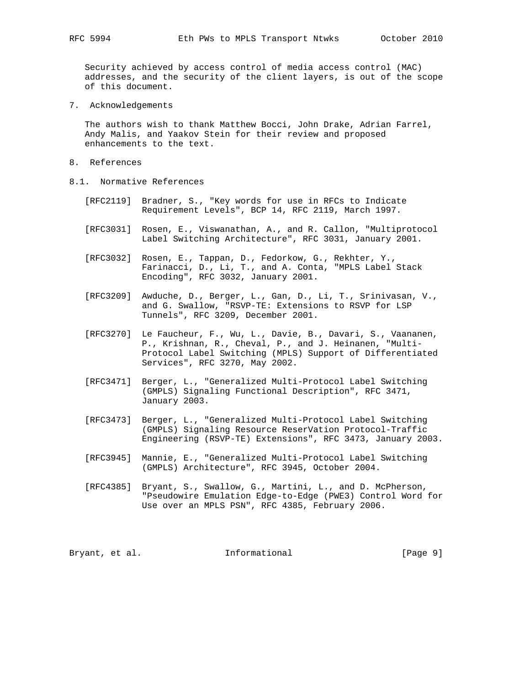Security achieved by access control of media access control (MAC) addresses, and the security of the client layers, is out of the scope of this document.

7. Acknowledgements

 The authors wish to thank Matthew Bocci, John Drake, Adrian Farrel, Andy Malis, and Yaakov Stein for their review and proposed enhancements to the text.

- 8. References
- 8.1. Normative References
	- [RFC2119] Bradner, S., "Key words for use in RFCs to Indicate Requirement Levels", BCP 14, RFC 2119, March 1997.
	- [RFC3031] Rosen, E., Viswanathan, A., and R. Callon, "Multiprotocol Label Switching Architecture", RFC 3031, January 2001.
	- [RFC3032] Rosen, E., Tappan, D., Fedorkow, G., Rekhter, Y., Farinacci, D., Li, T., and A. Conta, "MPLS Label Stack Encoding", RFC 3032, January 2001.
	- [RFC3209] Awduche, D., Berger, L., Gan, D., Li, T., Srinivasan, V., and G. Swallow, "RSVP-TE: Extensions to RSVP for LSP Tunnels", RFC 3209, December 2001.
	- [RFC3270] Le Faucheur, F., Wu, L., Davie, B., Davari, S., Vaananen, P., Krishnan, R., Cheval, P., and J. Heinanen, "Multi- Protocol Label Switching (MPLS) Support of Differentiated Services", RFC 3270, May 2002.
	- [RFC3471] Berger, L., "Generalized Multi-Protocol Label Switching (GMPLS) Signaling Functional Description", RFC 3471, January 2003.
	- [RFC3473] Berger, L., "Generalized Multi-Protocol Label Switching (GMPLS) Signaling Resource ReserVation Protocol-Traffic Engineering (RSVP-TE) Extensions", RFC 3473, January 2003.
	- [RFC3945] Mannie, E., "Generalized Multi-Protocol Label Switching (GMPLS) Architecture", RFC 3945, October 2004.
	- [RFC4385] Bryant, S., Swallow, G., Martini, L., and D. McPherson, "Pseudowire Emulation Edge-to-Edge (PWE3) Control Word for Use over an MPLS PSN", RFC 4385, February 2006.

| Bryant, et al. | Informational | [Page 9] |  |
|----------------|---------------|----------|--|
|----------------|---------------|----------|--|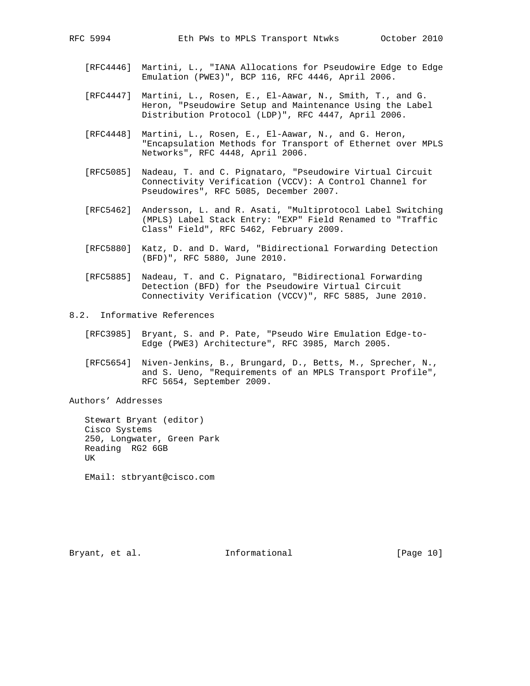- [RFC4446] Martini, L., "IANA Allocations for Pseudowire Edge to Edge Emulation (PWE3)", BCP 116, RFC 4446, April 2006.
- [RFC4447] Martini, L., Rosen, E., El-Aawar, N., Smith, T., and G. Heron, "Pseudowire Setup and Maintenance Using the Label Distribution Protocol (LDP)", RFC 4447, April 2006.
- [RFC4448] Martini, L., Rosen, E., El-Aawar, N., and G. Heron, "Encapsulation Methods for Transport of Ethernet over MPLS Networks", RFC 4448, April 2006.
- [RFC5085] Nadeau, T. and C. Pignataro, "Pseudowire Virtual Circuit Connectivity Verification (VCCV): A Control Channel for Pseudowires", RFC 5085, December 2007.
- [RFC5462] Andersson, L. and R. Asati, "Multiprotocol Label Switching (MPLS) Label Stack Entry: "EXP" Field Renamed to "Traffic Class" Field", RFC 5462, February 2009.
- [RFC5880] Katz, D. and D. Ward, "Bidirectional Forwarding Detection (BFD)", RFC 5880, June 2010.
- [RFC5885] Nadeau, T. and C. Pignataro, "Bidirectional Forwarding Detection (BFD) for the Pseudowire Virtual Circuit Connectivity Verification (VCCV)", RFC 5885, June 2010.
- 8.2. Informative References
	- [RFC3985] Bryant, S. and P. Pate, "Pseudo Wire Emulation Edge-to- Edge (PWE3) Architecture", RFC 3985, March 2005.
	- [RFC5654] Niven-Jenkins, B., Brungard, D., Betts, M., Sprecher, N., and S. Ueno, "Requirements of an MPLS Transport Profile", RFC 5654, September 2009.

Authors' Addresses

 Stewart Bryant (editor) Cisco Systems 250, Longwater, Green Park Reading RG2 6GB UK

EMail: stbryant@cisco.com

Bryant, et al. 10 Informational 1999 [Page 10]